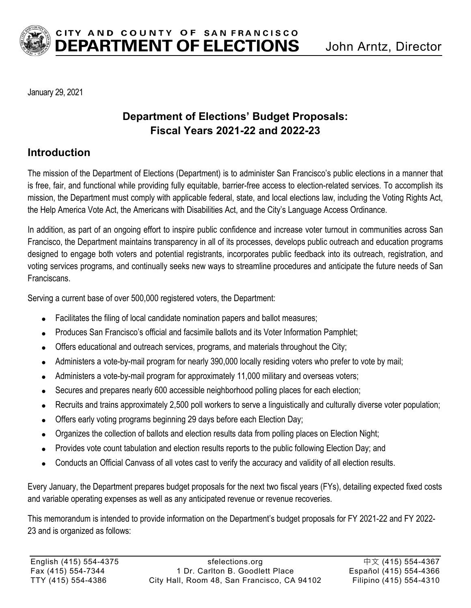

January 29, 2021

## **Department of Elections' Budget Proposals: Fiscal Years 2021-22 and 2022-23**

### **Introduction**

The mission of the Department of Elections (Department) is to administer San Francisco's public elections in a manner that is free, fair, and functional while providing fully equitable, barrier-free access to election-related services. To accomplish its mission, the Department must comply with applicable federal, state, and local elections law, including the Voting Rights Act, the Help America Vote Act, the Americans with Disabilities Act, and the City's Language Access Ordinance.

In addition, as part of an ongoing effort to inspire public confidence and increase voter turnout in communities across San Francisco, the Department maintains transparency in all of its processes, develops public outreach and education programs designed to engage both voters and potential registrants, incorporates public feedback into its outreach, registration, and voting services programs, and continually seeks new ways to streamline procedures and anticipate the future needs of San Franciscans.

Serving a current base of over 500,000 registered voters, the Department:

- Facilitates the filing of local candidate nomination papers and ballot measures;
- Produces San Francisco's official and facsimile ballots and its Voter Information Pamphlet;
- Offers educational and outreach services, programs, and materials throughout the City;
- Administers a vote-by-mail program for nearly 390,000 locally residing voters who prefer to vote by mail;
- Administers a vote-by-mail program for approximately 11,000 military and overseas voters;
- Secures and prepares nearly 600 accessible neighborhood polling places for each election;
- Recruits and trains approximately 2,500 poll workers to serve a linguistically and culturally diverse voter population;
- Offers early voting programs beginning 29 days before each Election Day;
- Organizes the collection of ballots and election results data from polling places on Election Night;
- Provides vote count tabulation and election results reports to the public following Election Day; and
- Conducts an Official Canvass of all votes cast to verify the accuracy and validity of all election results.

Every January, the Department prepares budget proposals for the next two fiscal years (FYs), detailing expected fixed costs and variable operating expenses as well as any anticipated revenue or revenue recoveries.

This memorandum is intended to provide information on the Department's budget proposals for FY 2021-22 and FY 2022- 23 and is organized as follows: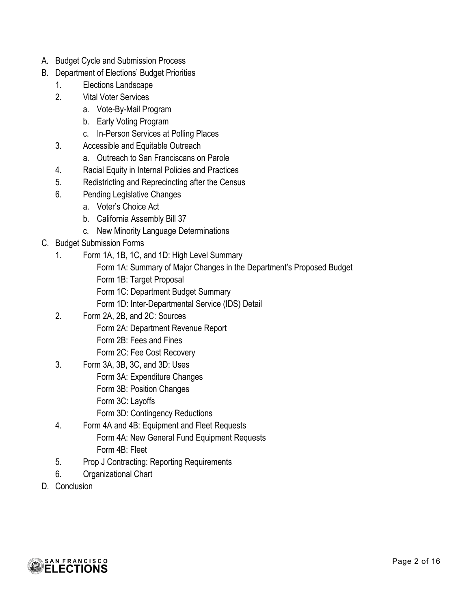- A. Budget Cycle and Submission Process
- B. Department of Elections' Budget Priorities
	- 1. Elections Landscape
	- 2. Vital Voter Services
		- a. Vote-By-Mail Program
		- b. Early Voting Program
		- c. In-Person Services at Polling Places
	- 3. Accessible and Equitable Outreach
		- a. Outreach to San Franciscans on Parole
	- 4. Racial Equity in Internal Policies and Practices
	- 5. Redistricting and Reprecincting after the Census
	- 6. Pending Legislative Changes
		- a. Voter's Choice Act
		- b. California Assembly Bill 37
		- c. New Minority Language Determinations
- C. Budget Submission Forms
	- 1. Form 1A, 1B, 1C, and 1D: High Level Summary
		- Form 1A: Summary of Major Changes in the Department's Proposed Budget
		- Form 1B: Target Proposal
		- Form 1C: Department Budget Summary
		- Form 1D: Inter-Departmental Service (IDS) Detail
	- 2. Form 2A, 2B, and 2C: Sources
		- Form 2A: Department Revenue Report
		- Form 2B: Fees and Fines
		- Form 2C: Fee Cost Recovery
	- 3. Form 3A, 3B, 3C, and 3D: Uses
		- Form 3A: Expenditure Changes
		- Form 3B: Position Changes
		- Form 3C: Layoffs
		- Form 3D: Contingency Reductions
	- 4. Form 4A and 4B: Equipment and Fleet Requests Form 4A: New General Fund Equipment Requests Form 4B: Fleet
	- 5. Prop J Contracting: Reporting Requirements
	- 6. Organizational Chart
- D. Conclusion

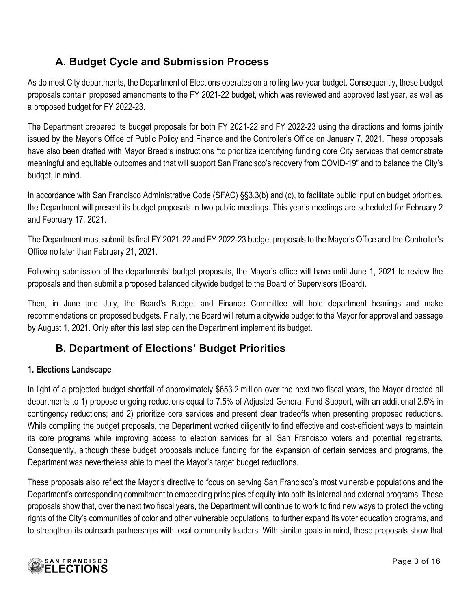# **A. Budget Cycle and Submission Process**

As do most City departments, the Department of Elections operates on a rolling two-year budget. Consequently, these budget proposals contain proposed amendments to the FY 2021-22 budget, which was reviewed and approved last year, as well as a proposed budget for FY 2022-23.

The Department prepared its budget proposals for both FY 2021-22 and FY 2022-23 using the directions and forms jointly issued by the Mayor's Office of Public Policy and Finance and the Controller's Office on January 7, 2021. These proposals have also been drafted with Mayor Breed's instructions "to prioritize identifying funding core City services that demonstrate meaningful and equitable outcomes and that will support San Francisco's recovery from COVID-19" and to balance the City's budget, in mind.

In accordance with San Francisco Administrative Code (SFAC) §§3.3(b) and (c), to facilitate public input on budget priorities, the Department will present its budget proposals in two public meetings. This year's meetings are scheduled for February 2 and February 17, 2021.

The Department must submit its final FY 2021-22 and FY 2022-23 budget proposals to the Mayor's Office and the Controller's Office no later than February 21, 2021.

Following submission of the departments' budget proposals, the Mayor's office will have until June 1, 2021 to review the proposals and then submit a proposed balanced citywide budget to the Board of Supervisors (Board).

Then, in June and July, the Board's Budget and Finance Committee will hold department hearings and make recommendations on proposed budgets. Finally, the Board will return a citywide budget to the Mayor for approval and passage by August 1, 2021. Only after this last step can the Department implement its budget.

# **B. Department of Elections' Budget Priorities**

#### **1. Elections Landscape**

In light of a projected budget shortfall of approximately \$653.2 million over the next two fiscal years, the Mayor directed all departments to 1) propose ongoing reductions equal to 7.5% of Adjusted General Fund Support, with an additional 2.5% in contingency reductions; and 2) prioritize core services and present clear tradeoffs when presenting proposed reductions. While compiling the budget proposals, the Department worked diligently to find effective and cost-efficient ways to maintain its core programs while improving access to election services for all San Francisco voters and potential registrants. Consequently, although these budget proposals include funding for the expansion of certain services and programs, the Department was nevertheless able to meet the Mayor's target budget reductions.

These proposals also reflect the Mayor's directive to focus on serving San Francisco's most vulnerable populations and the Department's corresponding commitment to embedding principles of equity into both its internal and external programs. These proposals show that, over the next two fiscal years, the Department will continue to work to find new ways to protect the voting rights of the City's communities of color and other vulnerable populations, to further expand its voter education programs, and to strengthen its outreach partnerships with local community leaders. With similar goals in mind, these proposals show that

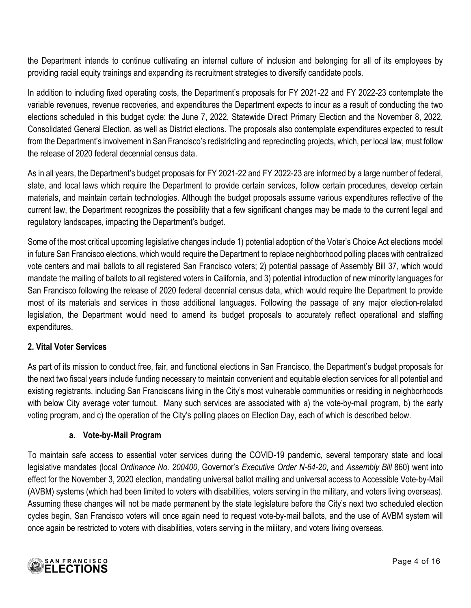the Department intends to continue cultivating an internal culture of inclusion and belonging for all of its employees by providing racial equity trainings and expanding its recruitment strategies to diversify candidate pools.

In addition to including fixed operating costs, the Department's proposals for FY 2021-22 and FY 2022-23 contemplate the variable revenues, revenue recoveries, and expenditures the Department expects to incur as a result of conducting the two elections scheduled in this budget cycle: the June 7, 2022, Statewide Direct Primary Election and the November 8, 2022, Consolidated General Election, as well as District elections. The proposals also contemplate expenditures expected to result from the Department's involvement in San Francisco's redistricting and reprecincting projects, which, per local law, must follow the release of 2020 federal decennial census data.

As in all years, the Department's budget proposals for FY 2021-22 and FY 2022-23 are informed by a large number of federal, state, and local laws which require the Department to provide certain services, follow certain procedures, develop certain materials, and maintain certain technologies. Although the budget proposals assume various expenditures reflective of the current law, the Department recognizes the possibility that a few significant changes may be made to the current legal and regulatory landscapes, impacting the Department's budget.

Some of the most critical upcoming legislative changes include 1) potential adoption of the Voter's Choice Act elections model in future San Francisco elections, which would require the Department to replace neighborhood polling places with centralized vote centers and mail ballots to all registered San Francisco voters; 2) potential passage of Assembly Bill 37, which would mandate the mailing of ballots to all registered voters in California, and 3) potential introduction of new minority languages for San Francisco following the release of 2020 federal decennial census data, which would require the Department to provide most of its materials and services in those additional languages. Following the passage of any major election-related legislation, the Department would need to amend its budget proposals to accurately reflect operational and staffing expenditures.

#### **2. Vital Voter Services**

As part of its mission to conduct free, fair, and functional elections in San Francisco, the Department's budget proposals for the next two fiscal years include funding necessary to maintain convenient and equitable election services for all potential and existing registrants, including San Franciscans living in the City's most vulnerable communities or residing in neighborhoods with below City average voter turnout. Many such services are associated with a) the vote-by-mail program, b) the early voting program, and c) the operation of the City's polling places on Election Day, each of which is described below.

#### **a. Vote-by-Mail Program**

To maintain safe access to essential voter services during the COVID-19 pandemic, several temporary state and local legislative mandates (local *Ordinance No. 200400,* Governor's *Executive Order N-64-20*, and *Assembly Bill* 860) went into effect for the November 3, 2020 election, mandating universal ballot mailing and universal access to Accessible Vote-by-Mail (AVBM) systems (which had been limited to voters with disabilities, voters serving in the military, and voters living overseas). Assuming these changes will not be made permanent by the state legislature before the City's next two scheduled election cycles begin, San Francisco voters will once again need to request vote-by-mail ballots, and the use of AVBM system will once again be restricted to voters with disabilities, voters serving in the military, and voters living overseas.

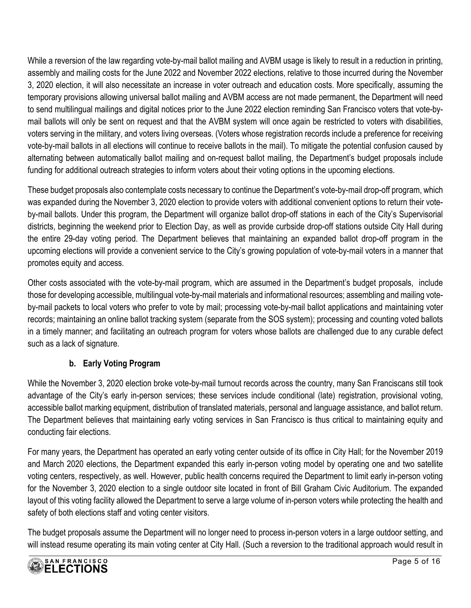While a reversion of the law regarding vote-by-mail ballot mailing and AVBM usage is likely to result in a reduction in printing, assembly and mailing costs for the June 2022 and November 2022 elections, relative to those incurred during the November 3, 2020 election, it will also necessitate an increase in voter outreach and education costs. More specifically, assuming the temporary provisions allowing universal ballot mailing and AVBM access are not made permanent, the Department will need to send multilingual mailings and digital notices prior to the June 2022 election reminding San Francisco voters that vote-bymail ballots will only be sent on request and that the AVBM system will once again be restricted to voters with disabilities, voters serving in the military, and voters living overseas. (Voters whose registration records include a preference for receiving vote-by-mail ballots in all elections will continue to receive ballots in the mail). To mitigate the potential confusion caused by alternating between automatically ballot mailing and on-request ballot mailing, the Department's budget proposals include funding for additional outreach strategies to inform voters about their voting options in the upcoming elections.

These budget proposals also contemplate costs necessary to continue the Department's vote-by-mail drop-off program, which was expanded during the November 3, 2020 election to provide voters with additional convenient options to return their voteby-mail ballots. Under this program, the Department will organize ballot drop-off stations in each of the City's Supervisorial districts, beginning the weekend prior to Election Day, as well as provide curbside drop-off stations outside City Hall during the entire 29-day voting period. The Department believes that maintaining an expanded ballot drop-off program in the upcoming elections will provide a convenient service to the City's growing population of vote-by-mail voters in a manner that promotes equity and access.

Other costs associated with the vote-by-mail program, which are assumed in the Department's budget proposals, include those for developing accessible, multilingual vote-by-mail materials and informational resources; assembling and mailing voteby-mail packets to local voters who prefer to vote by mail; processing vote-by-mail ballot applications and maintaining voter records; maintaining an online ballot tracking system (separate from the SOS system); processing and counting voted ballots in a timely manner; and facilitating an outreach program for voters whose ballots are challenged due to any curable defect such as a lack of signature.

#### **b. Early Voting Program**

While the November 3, 2020 election broke vote-by-mail turnout records across the country, many San Franciscans still took advantage of the City's early in-person services; these services include conditional (late) registration, provisional voting, accessible ballot marking equipment, distribution of translated materials, personal and language assistance, and ballot return. The Department believes that maintaining early voting services in San Francisco is thus critical to maintaining equity and conducting fair elections.

For many years, the Department has operated an early voting center outside of its office in City Hall; for the November 2019 and March 2020 elections, the Department expanded this early in-person voting model by operating one and two satellite voting centers, respectively, as well. However, public health concerns required the Department to limit early in-person voting for the November 3, 2020 election to a single outdoor site located in front of Bill Graham Civic Auditorium. The expanded layout of this voting facility allowed the Department to serve a large volume of in-person voters while protecting the health and safety of both elections staff and voting center visitors.

The budget proposals assume the Department will no longer need to process in-person voters in a large outdoor setting, and will instead resume operating its main voting center at City Hall. (Such a reversion to the traditional approach would result in

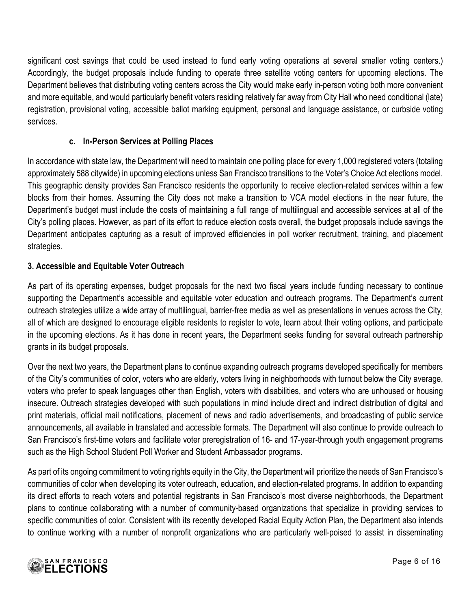significant cost savings that could be used instead to fund early voting operations at several smaller voting centers.) Accordingly, the budget proposals include funding to operate three satellite voting centers for upcoming elections. The Department believes that distributing voting centers across the City would make early in-person voting both more convenient and more equitable, and would particularly benefit voters residing relatively far away from City Hall who need conditional (late) registration, provisional voting, accessible ballot marking equipment, personal and language assistance, or curbside voting services.

#### **c. In-Person Services at Polling Places**

In accordance with state law, the Department will need to maintain one polling place for every 1,000 registered voters (totaling approximately 588 citywide) in upcoming elections unless San Francisco transitions to the Voter's Choice Act elections model. This geographic density provides San Francisco residents the opportunity to receive election-related services within a few blocks from their homes. Assuming the City does not make a transition to VCA model elections in the near future, the Department's budget must include the costs of maintaining a full range of multilingual and accessible services at all of the City's polling places. However, as part of its effort to reduce election costs overall, the budget proposals include savings the Department anticipates capturing as a result of improved efficiencies in poll worker recruitment, training, and placement strategies.

#### **3. Accessible and Equitable Voter Outreach**

As part of its operating expenses, budget proposals for the next two fiscal years include funding necessary to continue supporting the Department's accessible and equitable voter education and outreach programs. The Department's current outreach strategies utilize a wide array of multilingual, barrier-free media as well as presentations in venues across the City, all of which are designed to encourage eligible residents to register to vote, learn about their voting options, and participate in the upcoming elections. As it has done in recent years, the Department seeks funding for several outreach partnership grants in its budget proposals.

Over the next two years, the Department plans to continue expanding outreach programs developed specifically for members of the City's communities of color, voters who are elderly, voters living in neighborhoods with turnout below the City average, voters who prefer to speak languages other than English, voters with disabilities, and voters who are unhoused or housing insecure. Outreach strategies developed with such populations in mind include direct and indirect distribution of digital and print materials, official mail notifications, placement of news and radio advertisements, and broadcasting of public service announcements, all available in translated and accessible formats. The Department will also continue to provide outreach to San Francisco's first-time voters and facilitate voter preregistration of 16- and 17-year-through youth engagement programs such as the High School Student Poll Worker and Student Ambassador programs.

As part of its ongoing commitment to voting rights equity in the City, the Department will prioritize the needs of San Francisco's communities of color when developing its voter outreach, education, and election-related programs. In addition to expanding its direct efforts to reach voters and potential registrants in San Francisco's most diverse neighborhoods, the Department plans to continue collaborating with a number of community-based organizations that specialize in providing services to specific communities of color. Consistent with its recently developed Racial Equity Action Plan, the Department also intends to continue working with a number of nonprofit organizations who are particularly well-poised to assist in disseminating

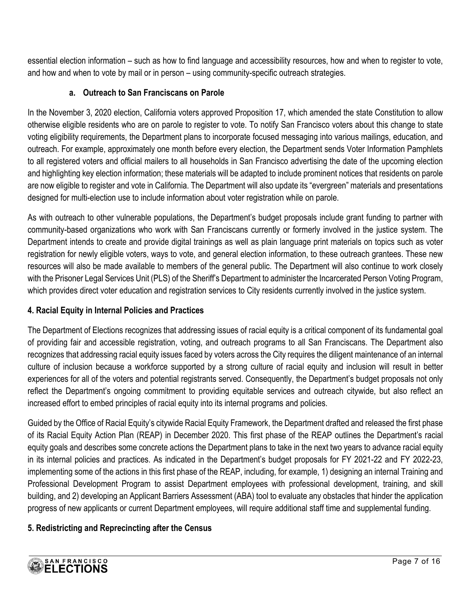essential election information – such as how to find language and accessibility resources, how and when to register to vote, and how and when to vote by mail or in person – using community-specific outreach strategies.

#### **a. Outreach to San Franciscans on Parole**

In the November 3, 2020 election, California voters approved Proposition 17, which amended the state Constitution to allow otherwise eligible residents who are on parole to register to vote. To notify San Francisco voters about this change to state voting eligibility requirements, the Department plans to incorporate focused messaging into various mailings, education, and outreach. For example, approximately one month before every election, the Department sends Voter Information Pamphlets to all registered voters and official mailers to all households in San Francisco advertising the date of the upcoming election and highlighting key election information; these materials will be adapted to include prominent notices that residents on parole are now eligible to register and vote in California. The Department will also update its "evergreen" materials and presentations designed for multi-election use to include information about voter registration while on parole.

As with outreach to other vulnerable populations, the Department's budget proposals include grant funding to partner with community-based organizations who work with San Franciscans currently or formerly involved in the justice system. The Department intends to create and provide digital trainings as well as plain language print materials on topics such as voter registration for newly eligible voters, ways to vote, and general election information, to these outreach grantees. These new resources will also be made available to members of the general public. The Department will also continue to work closely with the Prisoner Legal Services Unit (PLS) of the Sheriff's Department to administer the Incarcerated Person Voting Program, which provides direct voter education and registration services to City residents currently involved in the justice system.

#### **4. Racial Equity in Internal Policies and Practices**

The Department of Elections recognizes that addressing issues of racial equity is a critical component of its fundamental goal of providing fair and accessible registration, voting, and outreach programs to all San Franciscans. The Department also recognizes that addressing racial equity issues faced by voters across the City requires the diligent maintenance of an internal culture of inclusion because a workforce supported by a strong culture of racial equity and inclusion will result in better experiences for all of the voters and potential registrants served. Consequently, the Department's budget proposals not only reflect the Department's ongoing commitment to providing equitable services and outreach citywide, but also reflect an increased effort to embed principles of racial equity into its internal programs and policies.

Guided by the Office of Racial Equity's citywide Racial Equity Framework, the Department drafted and released the first phase of its Racial Equity Action Plan (REAP) in December 2020. This first phase of the REAP outlines the Department's racial equity goals and describes some concrete actions the Department plans to take in the next two years to advance racial equity in its internal policies and practices. As indicated in the Department's budget proposals for FY 2021-22 and FY 2022-23, implementing some of the actions in this first phase of the REAP, including, for example, 1) designing an internal Training and Professional Development Program to assist Department employees with professional development, training, and skill building, and 2) developing an Applicant Barriers Assessment (ABA) tool to evaluate any obstacles that hinder the application progress of new applicants or current Department employees, will require additional staff time and supplemental funding.

#### **5. Redistricting and Reprecincting after the Census**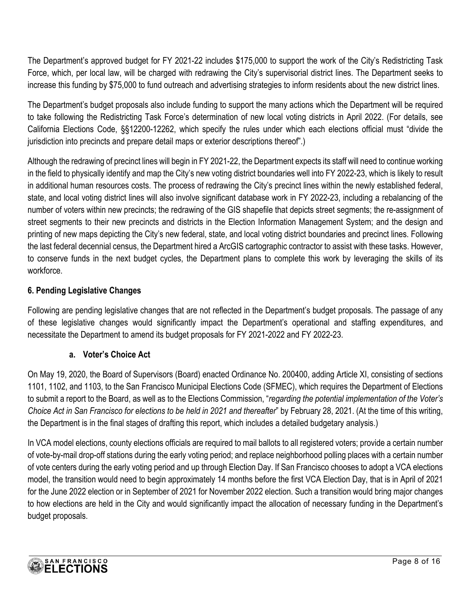The Department's approved budget for FY 2021-22 includes \$175,000 to support the work of the City's Redistricting Task Force, which, per local law, will be charged with redrawing the City's supervisorial district lines. The Department seeks to increase this funding by \$75,000 to fund outreach and advertising strategies to inform residents about the new district lines.

The Department's budget proposals also include funding to support the many actions which the Department will be required to take following the Redistricting Task Force's determination of new local voting districts in April 2022. (For details, see California Elections Code, §§12200-12262, which specify the rules under which each elections official must "divide the jurisdiction into precincts and prepare detail maps or exterior descriptions thereof".)

Although the redrawing of precinct lines will begin in FY 2021-22, the Department expects its staff will need to continue working in the field to physically identify and map the City's new voting district boundaries well into FY 2022-23, which is likely to result in additional human resources costs. The process of redrawing the City's precinct lines within the newly established federal, state, and local voting district lines will also involve significant database work in FY 2022-23, including a rebalancing of the number of voters within new precincts; the redrawing of the GIS shapefile that depicts street segments; the re-assignment of street segments to their new precincts and districts in the Election Information Management System; and the design and printing of new maps depicting the City's new federal, state, and local voting district boundaries and precinct lines. Following the last federal decennial census, the Department hired a ArcGIS cartographic contractor to assist with these tasks. However, to conserve funds in the next budget cycles, the Department plans to complete this work by leveraging the skills of its workforce.

#### **6. Pending Legislative Changes**

Following are pending legislative changes that are not reflected in the Department's budget proposals. The passage of any of these legislative changes would significantly impact the Department's operational and staffing expenditures, and necessitate the Department to amend its budget proposals for FY 2021-2022 and FY 2022-23.

#### **a. Voter's Choice Act**

On May 19, 2020, the Board of Supervisors (Board) enacted Ordinance No. 200400, adding Article XI, consisting of sections 1101, 1102, and 1103, to the San Francisco Municipal Elections Code (SFMEC), which requires the Department of Elections to submit a report to the Board, as well as to the Elections Commission, "*regarding the potential implementation of the Voter's Choice Act in San Francisco for elections to be held in 2021 and thereafter*" by February 28, 2021. (At the time of this writing, the Department is in the final stages of drafting this report, which includes a detailed budgetary analysis.)

In VCA model elections, county elections officials are required to mail ballots to all registered voters; provide a certain number of vote-by-mail drop-off stations during the early voting period; and replace neighborhood polling places with a certain number of vote centers during the early voting period and up through Election Day. If San Francisco chooses to adopt a VCA elections model, the transition would need to begin approximately 14 months before the first VCA Election Day, that is in April of 2021 for the June 2022 election or in September of 2021 for November 2022 election. Such a transition would bring major changes to how elections are held in the City and would significantly impact the allocation of necessary funding in the Department's budget proposals.

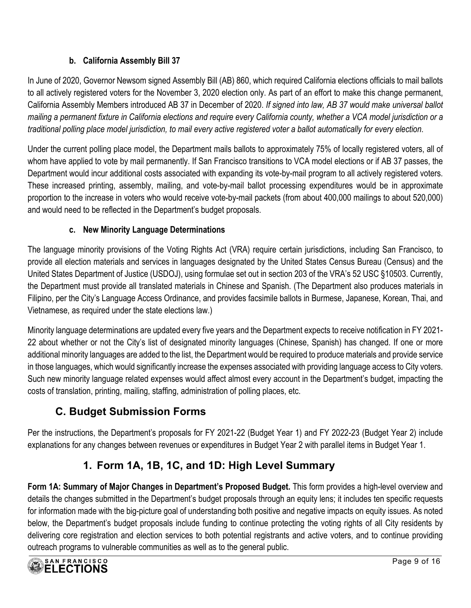#### **b. California Assembly Bill 37**

In June of 2020, Governor Newsom signed Assembly Bill (AB) 860, which required California elections officials to mail ballots to all actively registered voters for the November 3, 2020 election only. As part of an effort to make this change permanent, California Assembly Members introduced AB 37 in December of 2020. *If signed into law, AB 37 would make universal ballot mailing a permanent fixture in California elections and require every California county, whether a VCA model jurisdiction or a traditional polling place model jurisdiction, to mail every active registered voter a ballot automatically for every election*.

Under the current polling place model, the Department mails ballots to approximately 75% of locally registered voters, all of whom have applied to vote by mail permanently. If San Francisco transitions to VCA model elections or if AB 37 passes, the Department would incur additional costs associated with expanding its vote-by-mail program to all actively registered voters. These increased printing, assembly, mailing, and vote-by-mail ballot processing expenditures would be in approximate proportion to the increase in voters who would receive vote-by-mail packets (from about 400,000 mailings to about 520,000) and would need to be reflected in the Department's budget proposals.

#### **c. New Minority Language Determinations**

The language minority provisions of the Voting Rights Act (VRA) require certain jurisdictions, including San Francisco, to provide all election materials and services in languages designated by the United States Census Bureau (Census) and the United States Department of Justice (USDOJ), using formulae set out in section 203 of the VRA's 52 USC §10503. Currently, the Department must provide all translated materials in Chinese and Spanish. (The Department also produces materials in Filipino, per the City's Language Access Ordinance, and provides facsimile ballots in Burmese, Japanese, Korean, Thai, and Vietnamese, as required under the state elections law.)

Minority language determinations are updated every five years and the Department expects to receive notification in FY 2021- 22 about whether or not the City's list of designated minority languages (Chinese, Spanish) has changed. If one or more additional minority languages are added to the list, the Department would be required to produce materials and provide service in those languages, which would significantly increase the expenses associated with providing language access to City voters. Such new minority language related expenses would affect almost every account in the Department's budget, impacting the costs of translation, printing, mailing, staffing, administration of polling places, etc.

# **C. Budget Submission Forms**

Per the instructions, the Department's proposals for FY 2021-22 (Budget Year 1) and FY 2022-23 (Budget Year 2) include explanations for any changes between revenues or expenditures in Budget Year 2 with parallel items in Budget Year 1.

# **1. Form 1A, 1B, 1C, and 1D: High Level Summary**

**Form 1A: Summary of Major Changes in Department's Proposed Budget.** This form provides a high-level overview and details the changes submitted in the Department's budget proposals through an equity lens; it includes ten specific requests for information made with the big-picture goal of understanding both positive and negative impacts on equity issues. As noted below, the Department's budget proposals include funding to continue protecting the voting rights of all City residents by delivering core registration and election services to both potential registrants and active voters, and to continue providing outreach programs to vulnerable communities as well as to the general public.

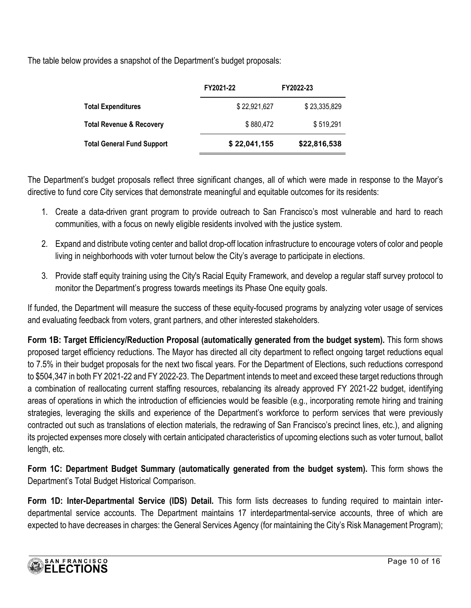The table below provides a snapshot of the Department's budget proposals:

|                                   | FY2021-22    | FY2022-23    |
|-----------------------------------|--------------|--------------|
| <b>Total Expenditures</b>         | \$22,921,627 | \$23,335,829 |
| Total Revenue & Recovery          | \$880,472    | \$519,291    |
| <b>Total General Fund Support</b> | \$22,041,155 | \$22,816,538 |

The Department's budget proposals reflect three significant changes, all of which were made in response to the Mayor's directive to fund core City services that demonstrate meaningful and equitable outcomes for its residents:

- 1. Create a data-driven grant program to provide outreach to San Francisco's most vulnerable and hard to reach communities, with a focus on newly eligible residents involved with the justice system.
- 2. Expand and distribute voting center and ballot drop-off location infrastructure to encourage voters of color and people living in neighborhoods with voter turnout below the City's average to participate in elections.
- 3. Provide staff equity training using the City's Racial Equity Framework, and develop a regular staff survey protocol to monitor the Department's progress towards meetings its Phase One equity goals.

If funded, the Department will measure the success of these equity-focused programs by analyzing voter usage of services and evaluating feedback from voters, grant partners, and other interested stakeholders.

**Form 1B: Target Efficiency/Reduction Proposal (automatically generated from the budget system).** This form shows proposed target efficiency reductions. The Mayor has directed all city department to reflect ongoing target reductions equal to 7.5% in their budget proposals for the next two fiscal years. For the Department of Elections, such reductions correspond to \$504,347 in both FY 2021-22 and FY 2022-23. The Department intends to meet and exceed these target reductions through a combination of reallocating current staffing resources, rebalancing its already approved FY 2021-22 budget, identifying areas of operations in which the introduction of efficiencies would be feasible (e.g., incorporating remote hiring and training strategies, leveraging the skills and experience of the Department's workforce to perform services that were previously contracted out such as translations of election materials, the redrawing of San Francisco's precinct lines, etc.), and aligning its projected expenses more closely with certain anticipated characteristics of upcoming elections such as voter turnout, ballot length, etc.

Form 1C: Department Budget Summary (automatically generated from the budget system). This form shows the Department's Total Budget Historical Comparison.

**Form 1D: Inter-Departmental Service (IDS) Detail.** This form lists decreases to funding required to maintain interdepartmental service accounts. The Department maintains 17 interdepartmental-service accounts, three of which are expected to have decreases in charges: the General Services Agency (for maintaining the City's Risk Management Program);

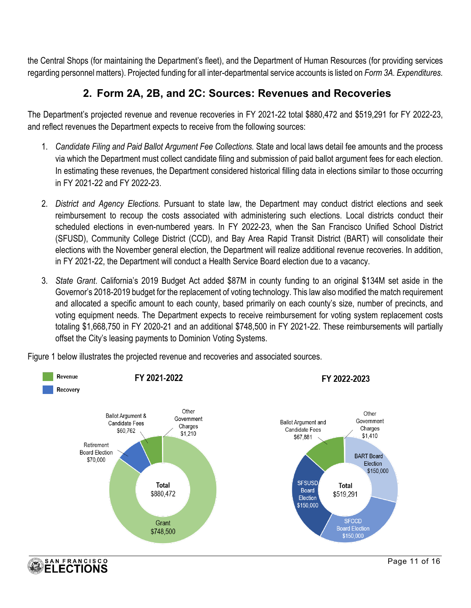the Central Shops (for maintaining the Department's fleet), and the Department of Human Resources (for providing services regarding personnel matters). Projected funding for all inter-departmental service accounts is listed on *Form 3A. Expenditures.*

### **2. Form 2A, 2B, and 2C: Sources: Revenues and Recoveries**

The Department's projected revenue and revenue recoveries in FY 2021-22 total \$880,472 and \$519,291 for FY 2022-23, and reflect revenues the Department expects to receive from the following sources:

- 1. *Candidate Filing and Paid Ballot Argument Fee Collections.* State and local laws detail fee amounts and the process via which the Department must collect candidate filing and submission of paid ballot argument fees for each election. In estimating these revenues, the Department considered historical filling data in elections similar to those occurring in FY 2021-22 and FY 2022-23.
- 2. *District and Agency Elections.* Pursuant to state law, the Department may conduct district elections and seek reimbursement to recoup the costs associated with administering such elections. Local districts conduct their scheduled elections in even-numbered years. In FY 2022-23, when the San Francisco Unified School District (SFUSD), Community College District (CCD), and Bay Area Rapid Transit District (BART) will consolidate their elections with the November general election, the Department will realize additional revenue recoveries. In addition, in FY 2021-22, the Department will conduct a Health Service Board election due to a vacancy.
- 3. *State Grant*. California's 2019 Budget Act added \$87M in county funding to an original \$134M set aside in the Governor's 2018-2019 budget for the replacement of voting technology. This law also modified the match requirement and allocated a specific amount to each county, based primarily on each county's size, number of precincts, and voting equipment needs. The Department expects to receive reimbursement for voting system replacement costs totaling \$1,668,750 in FY 2020-21 and an additional \$748,500 in FY 2021-22. These reimbursements will partially offset the City's leasing payments to Dominion Voting Systems.



Figure 1 below illustrates the projected revenue and recoveries and associated sources.

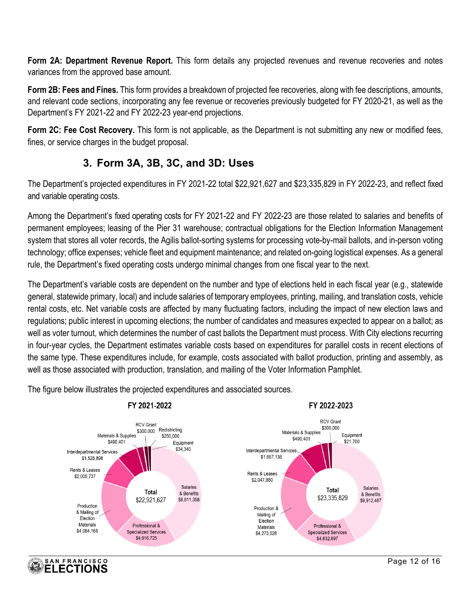**Form 2A: Department Revenue Report.** This form details any projected revenues and revenue recoveries and notes variances from the approved base amount.

**Form 2B: Fees and Fines.** This form provides a breakdown of projected fee recoveries, along with fee descriptions, amounts, and relevant code sections, incorporating any fee revenue or recoveries previously budgeted for FY 2020-21, as well as the Department's FY 2021-22 and FY 2022-23 year-end projections.

**Form 2C: Fee Cost Recovery.** This form is not applicable, as the Department is not submitting any new or modified fees, fines, or service charges in the budget proposal.

### **3. Form 3A, 3B, 3C, and 3D: Uses**

The Department's projected expenditures in FY 2021-22 total \$22,921,627 and \$23,335,829 in FY 2022-23, and reflect fixed and variable operating costs.

Among the Department's fixed operating costs for FY 2021-22 and FY 2022-23 are those related to salaries and benefits of permanent employees; leasing of the Pier 31 warehouse; contractual obligations for the Election Information Management system that stores all voter records, the Agilis ballot-sorting systems for processing vote-by-mail ballots, and in-person voting technology; office expenses; vehicle fleet and equipment maintenance; and related on-going logistical expenses. As a general rule, the Department's fixed operating costs undergo minimal changes from one fiscal year to the next.

The Department's variable costs are dependent on the number and type of elections held in each fiscal year (e.g., statewide general, statewide primary, local) and include salaries of temporary employees, printing, mailing, and translation costs, vehicle rental costs, etc. Net variable costs are affected by many fluctuating factors, including the impact of new election laws and regulations; public interest in upcoming elections; the number of candidates and measures expected to appear on a ballot; as well as voter turnout, which determines the number of cast ballots the Department must process. With City elections recurring in four-year cycles, the Department estimates variable costs based on expenditures for parallel costs in recent elections of the same type. These expenditures include, for example, costs associated with ballot production, printing and assembly, as well as those associated with production, translation, and mailing of the Voter Information Pamphlet.

The figure below illustrates the projected expenditures and associated sources.

SAN FRANCISCO **ELECTIONS** 

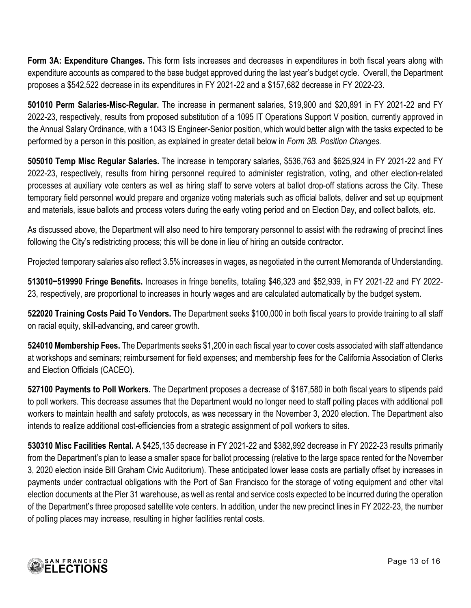**Form 3A: Expenditure Changes.** This form lists increases and decreases in expenditures in both fiscal years along with expenditure accounts as compared to the base budget approved during the last year's budget cycle.Overall, the Department proposes a \$542,522 decrease in its expenditures in FY 2021-22 and a \$157,682 decrease in FY 2022-23.

**501010 Perm Salaries-Misc-Regular.** The increase in permanent salaries, \$19,900 and \$20,891 in FY 2021-22 and FY 2022-23, respectively, results from proposed substitution of a 1095 IT Operations Support V position, currently approved in the Annual Salary Ordinance, with a 1043 IS Engineer-Senior position, which would better align with the tasks expected to be performed by a person in this position, as explained in greater detail below in *Form 3B. Position Changes.* 

**505010 Temp Misc Regular Salaries.** The increase in temporary salaries, \$536,763 and \$625,924 in FY 2021-22 and FY 2022-23, respectively, results from hiring personnel required to administer registration, voting, and other election-related processes at auxiliary vote centers as well as hiring staff to serve voters at ballot drop-off stations across the City. These temporary field personnel would prepare and organize voting materials such as official ballots, deliver and set up equipment and materials, issue ballots and process voters during the early voting period and on Election Day, and collect ballots, etc.

As discussed above, the Department will also need to hire temporary personnel to assist with the redrawing of precinct lines following the City's redistricting process; this will be done in lieu of hiring an outside contractor.

Projected temporary salaries also reflect 3.5% increases in wages, as negotiated in the current Memoranda of Understanding.

**513010−519990 Fringe Benefits.** Increases in fringe benefits, totaling \$46,323 and \$52,939, in FY 2021-22 and FY 2022- 23, respectively, are proportional to increases in hourly wages and are calculated automatically by the budget system.

**522020 Training Costs Paid To Vendors.** The Department seeks \$100,000 in both fiscal years to provide training to all staff on racial equity, skill-advancing, and career growth.

**524010 Membership Fees.** The Departments seeks \$1,200 in each fiscal year to cover costs associated with staff attendance at workshops and seminars; reimbursement for field expenses; and membership fees for the California Association of Clerks and Election Officials (CACEO).

**527100 Payments to Poll Workers.** The Department proposes a decrease of \$167,580 in both fiscal years to stipends paid to poll workers. This decrease assumes that the Department would no longer need to staff polling places with additional poll workers to maintain health and safety protocols, as was necessary in the November 3, 2020 election. The Department also intends to realize additional cost-efficiencies from a strategic assignment of poll workers to sites.

**530310 Misc Facilities Rental.** A \$425,135 decrease in FY 2021-22 and \$382,992 decrease in FY 2022-23 results primarily from the Department's plan to lease a smaller space for ballot processing (relative to the large space rented for the November 3, 2020 election inside Bill Graham Civic Auditorium). These anticipated lower lease costs are partially offset by increases in payments under contractual obligations with the Port of San Francisco for the storage of voting equipment and other vital election documents at the Pier 31 warehouse, as well as rental and service costs expected to be incurred during the operation of the Department's three proposed satellite vote centers. In addition, under the new precinct lines in FY 2022-23, the number of polling places may increase, resulting in higher facilities rental costs.

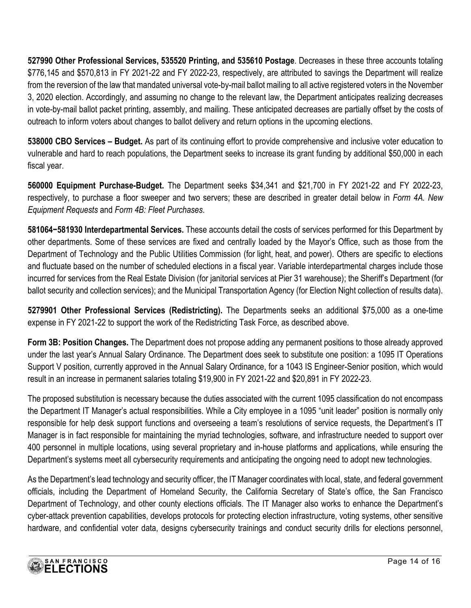**527990 Other Professional Services, 535520 Printing, and 535610 Postage**. Decreases in these three accounts totaling \$776,145 and \$570,813 in FY 2021-22 and FY 2022-23, respectively, are attributed to savings the Department will realize from the reversion of the law that mandated universal vote-by-mail ballot mailing to all active registered voters in the November 3, 2020 election. Accordingly, and assuming no change to the relevant law, the Department anticipates realizing decreases in vote-by-mail ballot packet printing, assembly, and mailing. These anticipated decreases are partially offset by the costs of outreach to inform voters about changes to ballot delivery and return options in the upcoming elections.

**538000 CBO Services – Budget.** As part of its continuing effort to provide comprehensive and inclusive voter education to vulnerable and hard to reach populations, the Department seeks to increase its grant funding by additional \$50,000 in each fiscal year.

**560000 Equipment Purchase-Budget.** The Department seeks \$34,341 and \$21,700 in FY 2021-22 and FY 2022-23, respectively, to purchase a floor sweeper and two servers; these are described in greater detail below in *Form 4A. New Equipment Requests* and *Form 4B: Fleet Purchases*.

**581064−581930 Interdepartmental Services.** These accounts detail the costs of services performed for this Department by other departments. Some of these services are fixed and centrally loaded by the Mayor's Office, such as those from the Department of Technology and the Public Utilities Commission (for light, heat, and power). Others are specific to elections and fluctuate based on the number of scheduled elections in a fiscal year. Variable interdepartmental charges include those incurred for services from the Real Estate Division (for janitorial services at Pier 31 warehouse); the Sheriff's Department (for ballot security and collection services); and the Municipal Transportation Agency (for Election Night collection of results data).

**5279901 Other Professional Services (Redistricting).** The Departments seeks an additional \$75,000 as a one-time expense in FY 2021-22 to support the work of the Redistricting Task Force, as described above.

**Form 3B: Position Changes.** The Department does not propose adding any permanent positions to those already approved under the last year's Annual Salary Ordinance. The Department does seek to substitute one position: a 1095 IT Operations Support V position, currently approved in the Annual Salary Ordinance, for a 1043 IS Engineer-Senior position, which would result in an increase in permanent salaries totaling \$19,900 in FY 2021-22 and \$20,891 in FY 2022-23.

The proposed substitution is necessary because the duties associated with the current 1095 classification do not encompass the Department IT Manager's actual responsibilities. While a City employee in a 1095 "unit leader" position is normally only responsible for help desk support functions and overseeing a team's resolutions of service requests, the Department's IT Manager is in fact responsible for maintaining the myriad technologies, software, and infrastructure needed to support over 400 personnel in multiple locations, using several proprietary and in-house platforms and applications, while ensuring the Department's systems meet all cybersecurity requirements and anticipating the ongoing need to adopt new technologies.

As the Department's lead technology and security officer, the IT Manager coordinates with local, state, and federal government officials, including the Department of Homeland Security, the California Secretary of State's office, the San Francisco Department of Technology, and other county elections officials. The IT Manager also works to enhance the Department's cyber-attack prevention capabilities, develops protocols for protecting election infrastructure, voting systems, other sensitive hardware, and confidential voter data, designs cybersecurity trainings and conduct security drills for elections personnel,

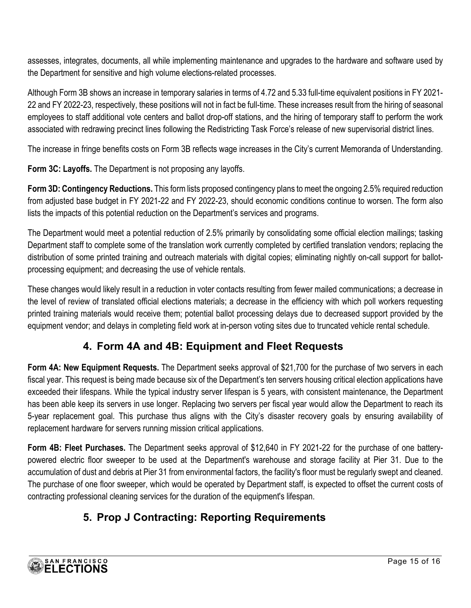assesses, integrates, documents, all while implementing maintenance and upgrades to the hardware and software used by the Department for sensitive and high volume elections-related processes.

Although Form 3B shows an increase in temporary salaries in terms of 4.72 and 5.33 full-time equivalent positions in FY 2021- 22 and FY 2022-23, respectively, these positions will not in fact be full-time. These increases result from the hiring of seasonal employees to staff additional vote centers and ballot drop-off stations, and the hiring of temporary staff to perform the work associated with redrawing precinct lines following the Redistricting Task Force's release of new supervisorial district lines.

The increase in fringe benefits costs on Form 3B reflects wage increases in the City's current Memoranda of Understanding.

**Form 3C: Layoffs.** The Department is not proposing any layoffs.

**Form 3D: Contingency Reductions.** This form lists proposed contingency plans to meet the ongoing 2.5% required reduction from adjusted base budget in FY 2021-22 and FY 2022-23, should economic conditions continue to worsen. The form also lists the impacts of this potential reduction on the Department's services and programs.

The Department would meet a potential reduction of 2.5% primarily by consolidating some official election mailings; tasking Department staff to complete some of the translation work currently completed by certified translation vendors; replacing the distribution of some printed training and outreach materials with digital copies; eliminating nightly on-call support for ballotprocessing equipment; and decreasing the use of vehicle rentals.

These changes would likely result in a reduction in voter contacts resulting from fewer mailed communications; a decrease in the level of review of translated official elections materials; a decrease in the efficiency with which poll workers requesting printed training materials would receive them; potential ballot processing delays due to decreased support provided by the equipment vendor; and delays in completing field work at in-person voting sites due to truncated vehicle rental schedule.

### **4. Form 4A and 4B: Equipment and Fleet Requests**

**Form 4A: New Equipment Requests.** The Department seeks approval of \$21,700 for the purchase of two servers in each fiscal year. This request is being made because six of the Department's ten servers housing critical election applications have exceeded their lifespans. While the typical industry server lifespan is 5 years, with consistent maintenance, the Department has been able keep its servers in use longer. Replacing two servers per fiscal year would allow the Department to reach its 5-year replacement goal. This purchase thus aligns with the City's disaster recovery goals by ensuring availability of replacement hardware for servers running mission critical applications.

**Form 4B: Fleet Purchases.** The Department seeks approval of \$12,640 in FY 2021-22 for the purchase of one batterypowered electric floor sweeper to be used at the Department's warehouse and storage facility at Pier 31. Due to the accumulation of dust and debris at Pier 31 from environmental factors, the facility's floor must be regularly swept and cleaned. The purchase of one floor sweeper, which would be operated by Department staff, is expected to offset the current costs of contracting professional cleaning services for the duration of the equipment's lifespan.

# **5. Prop J Contracting: Reporting Requirements**